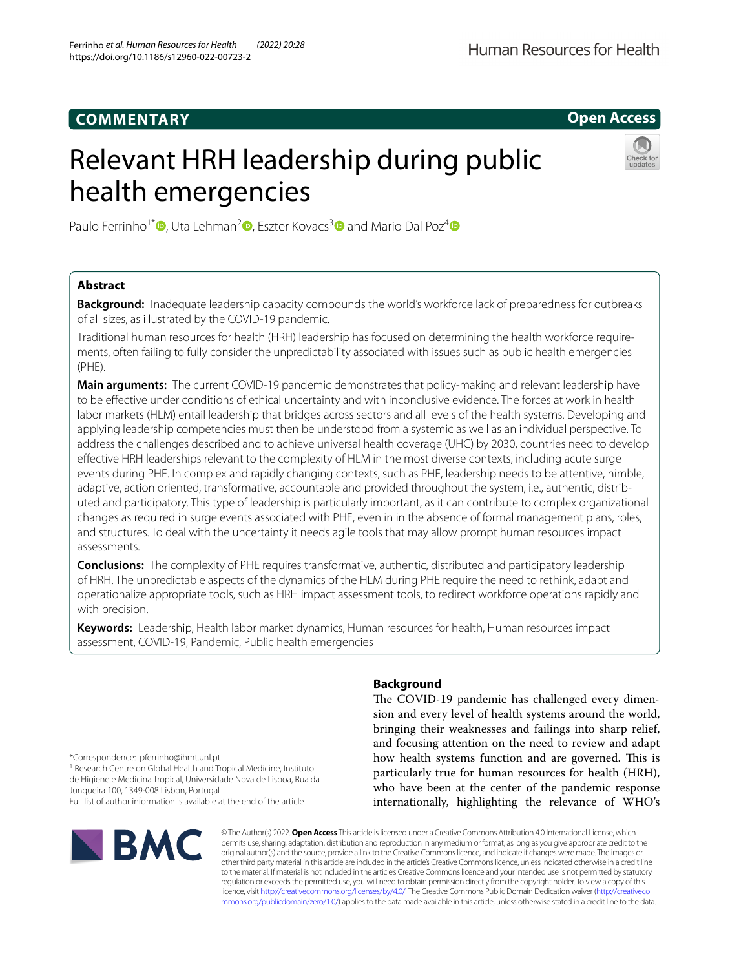# **COMMENTARY**

# **Open Access**

# Relevant HRH leadership during public health emergencies



Paulo Ferrinho<sup>1\*</sup>  $\Phi$ [,](http://orcid.org/0000-0002-3722-0803) Uta Lehman<sup>2</sup>  $\Phi$ [,](http://orcid.org/0000-0002-2627-8954) Eszter Kovacs<sup>[3](http://orcid.org/0000-0001-5582-1752)</sup>  $\Phi$  and Mario Dal Poz<sup>[4](http://orcid.org/0000-0002-3005-3280)</sup>  $\Phi$ 

# **Abstract**

**Background:** Inadequate leadership capacity compounds the world's workforce lack of preparedness for outbreaks of all sizes, as illustrated by the COVID-19 pandemic.

Traditional human resources for health (HRH) leadership has focused on determining the health workforce requirements, often failing to fully consider the unpredictability associated with issues such as public health emergencies (PHE).

**Main arguments:** The current COVID-19 pandemic demonstrates that policy-making and relevant leadership have to be efective under conditions of ethical uncertainty and with inconclusive evidence. The forces at work in health labor markets (HLM) entail leadership that bridges across sectors and all levels of the health systems. Developing and applying leadership competencies must then be understood from a systemic as well as an individual perspective. To address the challenges described and to achieve universal health coverage (UHC) by 2030, countries need to develop efective HRH leaderships relevant to the complexity of HLM in the most diverse contexts, including acute surge events during PHE. In complex and rapidly changing contexts, such as PHE, leadership needs to be attentive, nimble, adaptive, action oriented, transformative, accountable and provided throughout the system, i.e., authentic, distributed and participatory. This type of leadership is particularly important, as it can contribute to complex organizational changes as required in surge events associated with PHE, even in in the absence of formal management plans, roles, and structures. To deal with the uncertainty it needs agile tools that may allow prompt human resources impact assessments.

**Conclusions:** The complexity of PHE requires transformative, authentic, distributed and participatory leadership of HRH. The unpredictable aspects of the dynamics of the HLM during PHE require the need to rethink, adapt and operationalize appropriate tools, such as HRH impact assessment tools, to redirect workforce operations rapidly and with precision.

**Keywords:** Leadership, Health labor market dynamics, Human resources for health, Human resources impact assessment, COVID-19, Pandemic, Public health emergencies

\*Correspondence: pferrinho@ihmt.unl.pt

<sup>1</sup> Research Centre on Global Health and Tropical Medicine, Instituto de Higiene e Medicina Tropical, Universidade Nova de Lisboa, Rua da Junqueira 100, 1349-008 Lisbon, Portugal Full list of author information is available at the end of the article



# **Background**

The COVID-19 pandemic has challenged every dimension and every level of health systems around the world, bringing their weaknesses and failings into sharp relief, and focusing attention on the need to review and adapt how health systems function and are governed. This is particularly true for human resources for health (HRH), who have been at the center of the pandemic response internationally, highlighting the relevance of WHO's

© The Author(s) 2022. **Open Access** This article is licensed under a Creative Commons Attribution 4.0 International License, which permits use, sharing, adaptation, distribution and reproduction in any medium or format, as long as you give appropriate credit to the original author(s) and the source, provide a link to the Creative Commons licence, and indicate if changes were made. The images or other third party material in this article are included in the article's Creative Commons licence, unless indicated otherwise in a credit line to the material. If material is not included in the article's Creative Commons licence and your intended use is not permitted by statutory regulation or exceeds the permitted use, you will need to obtain permission directly from the copyright holder. To view a copy of this licence, visit [http://creativecommons.org/licenses/by/4.0/.](http://creativecommons.org/licenses/by/4.0/) The Creative Commons Public Domain Dedication waiver ([http://creativeco](http://creativecommons.org/publicdomain/zero/1.0/) [mmons.org/publicdomain/zero/1.0/](http://creativecommons.org/publicdomain/zero/1.0/)) applies to the data made available in this article, unless otherwise stated in a credit line to the data.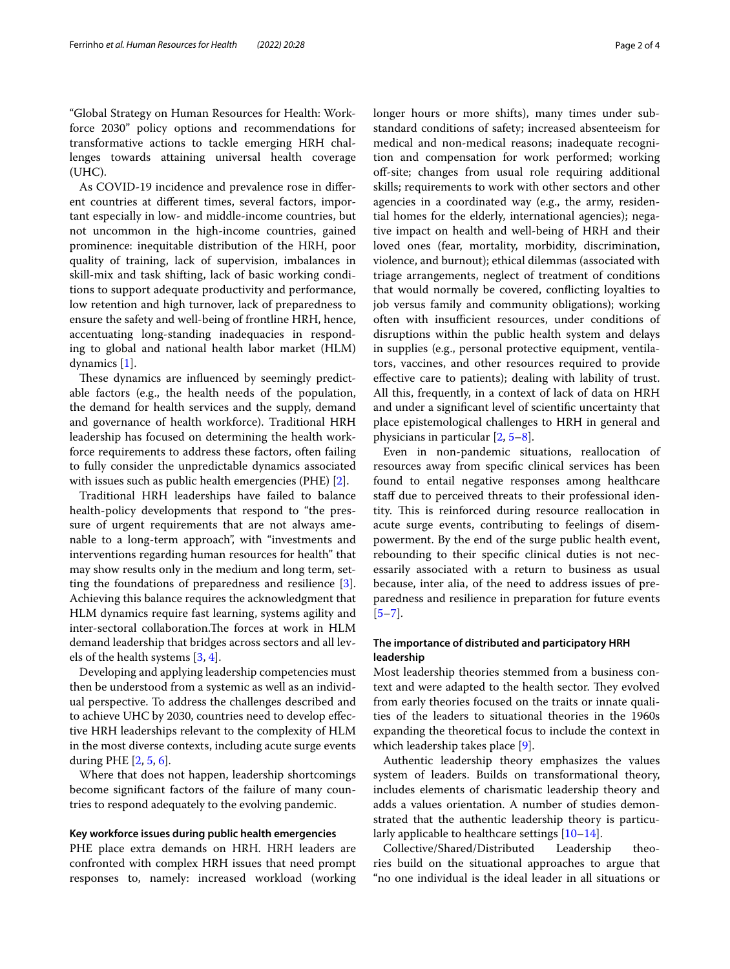"Global Strategy on Human Resources for Health: Workforce 2030" policy options and recommendations for transformative actions to tackle emerging HRH challenges towards attaining universal health coverage (UHC).

As COVID-19 incidence and prevalence rose in diferent countries at diferent times, several factors, important especially in low- and middle-income countries, but not uncommon in the high-income countries, gained prominence: inequitable distribution of the HRH, poor quality of training, lack of supervision, imbalances in skill-mix and task shifting, lack of basic working conditions to support adequate productivity and performance, low retention and high turnover, lack of preparedness to ensure the safety and well-being of frontline HRH, hence, accentuating long-standing inadequacies in responding to global and national health labor market (HLM) dynamics [\[1](#page-3-0)].

These dynamics are influenced by seemingly predictable factors (e.g., the health needs of the population, the demand for health services and the supply, demand and governance of health workforce). Traditional HRH leadership has focused on determining the health workforce requirements to address these factors, often failing to fully consider the unpredictable dynamics associated with issues such as public health emergencies (PHE) [[2\]](#page-3-1).

Traditional HRH leaderships have failed to balance health-policy developments that respond to "the pressure of urgent requirements that are not always amenable to a long-term approach", with "investments and interventions regarding human resources for health" that may show results only in the medium and long term, setting the foundations of preparedness and resilience [\[3](#page-3-2)]. Achieving this balance requires the acknowledgment that HLM dynamics require fast learning, systems agility and inter-sectoral collaboration.The forces at work in HLM demand leadership that bridges across sectors and all levels of the health systems [[3,](#page-3-2) [4](#page-3-3)].

Developing and applying leadership competencies must then be understood from a systemic as well as an individual perspective. To address the challenges described and to achieve UHC by 2030, countries need to develop efective HRH leaderships relevant to the complexity of HLM in the most diverse contexts, including acute surge events during PHE [\[2](#page-3-1), [5,](#page-3-4) [6](#page-3-5)].

Where that does not happen, leadership shortcomings become signifcant factors of the failure of many countries to respond adequately to the evolving pandemic.

## **Key workforce issues during public health emergencies**

PHE place extra demands on HRH. HRH leaders are confronted with complex HRH issues that need prompt responses to, namely: increased workload (working longer hours or more shifts), many times under substandard conditions of safety; increased absenteeism for medical and non-medical reasons; inadequate recognition and compensation for work performed; working off-site; changes from usual role requiring additional skills; requirements to work with other sectors and other agencies in a coordinated way (e.g., the army, residential homes for the elderly, international agencies); negative impact on health and well-being of HRH and their loved ones (fear, mortality, morbidity, discrimination, violence, and burnout); ethical dilemmas (associated with triage arrangements, neglect of treatment of conditions that would normally be covered, conficting loyalties to job versus family and community obligations); working often with insufficient resources, under conditions of disruptions within the public health system and delays in supplies (e.g., personal protective equipment, ventilators, vaccines, and other resources required to provide efective care to patients); dealing with lability of trust. All this, frequently, in a context of lack of data on HRH and under a signifcant level of scientifc uncertainty that place epistemological challenges to HRH in general and physicians in particular [\[2](#page-3-1), [5–](#page-3-4)[8\]](#page-3-6).

Even in non-pandemic situations, reallocation of resources away from specifc clinical services has been found to entail negative responses among healthcare staff due to perceived threats to their professional identity. This is reinforced during resource reallocation in acute surge events, contributing to feelings of disempowerment. By the end of the surge public health event, rebounding to their specifc clinical duties is not necessarily associated with a return to business as usual because, inter alia, of the need to address issues of preparedness and resilience in preparation for future events  $[5-7]$  $[5-7]$ .

# **The importance of distributed and participatory HRH leadership**

Most leadership theories stemmed from a business context and were adapted to the health sector. They evolved from early theories focused on the traits or innate qualities of the leaders to situational theories in the 1960s expanding the theoretical focus to include the context in which leadership takes place [\[9\]](#page-3-8).

Authentic leadership theory emphasizes the values system of leaders. Builds on transformational theory, includes elements of charismatic leadership theory and adds a values orientation. A number of studies demonstrated that the authentic leadership theory is particularly applicable to healthcare settings [[10–](#page-3-9)[14\]](#page-3-10).

Collective/Shared/Distributed Leadership theories build on the situational approaches to argue that "no one individual is the ideal leader in all situations or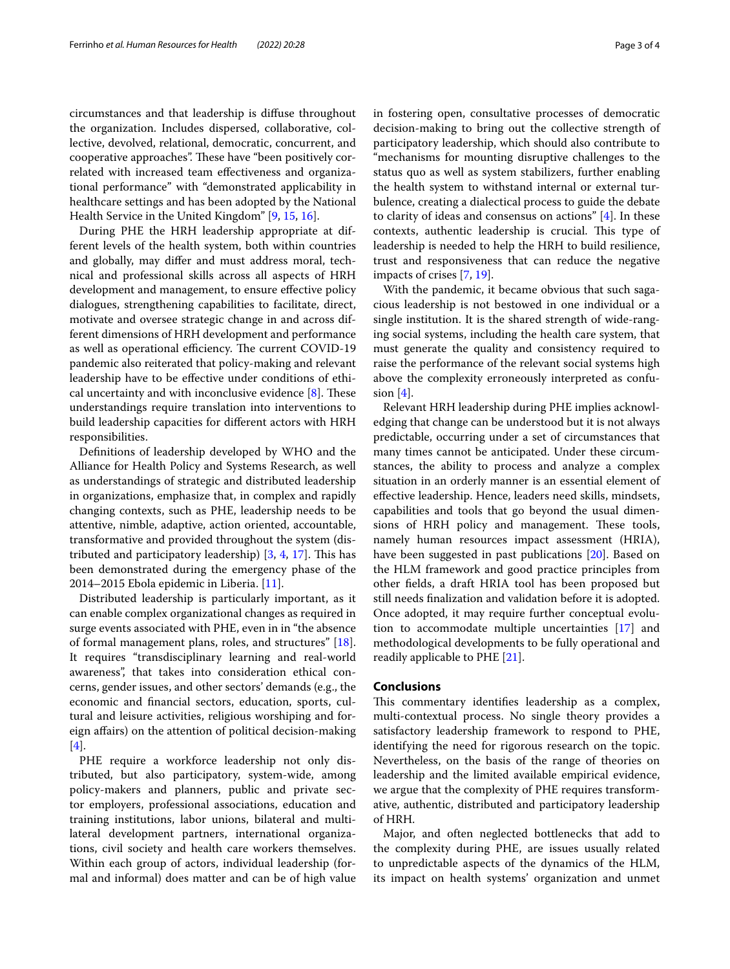circumstances and that leadership is difuse throughout the organization. Includes dispersed, collaborative, collective, devolved, relational, democratic, concurrent, and cooperative approaches". These have "been positively correlated with increased team efectiveness and organizational performance" with "demonstrated applicability in healthcare settings and has been adopted by the National Health Service in the United Kingdom" [[9,](#page-3-8) [15](#page-3-11), [16](#page-3-12)].

During PHE the HRH leadership appropriate at different levels of the health system, both within countries and globally, may difer and must address moral, technical and professional skills across all aspects of HRH development and management, to ensure efective policy dialogues, strengthening capabilities to facilitate, direct, motivate and oversee strategic change in and across different dimensions of HRH development and performance as well as operational efficiency. The current COVID-19 pandemic also reiterated that policy-making and relevant leadership have to be efective under conditions of ethical uncertainty and with inconclusive evidence  $[8]$  $[8]$ . These understandings require translation into interventions to build leadership capacities for diferent actors with HRH responsibilities.

Defnitions of leadership developed by WHO and the Alliance for Health Policy and Systems Research, as well as understandings of strategic and distributed leadership in organizations, emphasize that, in complex and rapidly changing contexts, such as PHE, leadership needs to be attentive, nimble, adaptive, action oriented, accountable, transformative and provided throughout the system (distributed and participatory leadership)  $[3, 4, 17]$  $[3, 4, 17]$  $[3, 4, 17]$  $[3, 4, 17]$  $[3, 4, 17]$  $[3, 4, 17]$ . This has been demonstrated during the emergency phase of the 2014–2015 Ebola epidemic in Liberia. [[11](#page-3-14)].

Distributed leadership is particularly important, as it can enable complex organizational changes as required in surge events associated with PHE, even in in "the absence of formal management plans, roles, and structures" [\[18](#page-3-15)]. It requires "transdisciplinary learning and real-world awareness", that takes into consideration ethical concerns, gender issues, and other sectors' demands (e.g., the economic and fnancial sectors, education, sports, cultural and leisure activities, religious worshiping and foreign afairs) on the attention of political decision-making [[4\]](#page-3-3).

PHE require a workforce leadership not only distributed, but also participatory, system-wide, among policy-makers and planners, public and private sector employers, professional associations, education and training institutions, labor unions, bilateral and multilateral development partners, international organizations, civil society and health care workers themselves. Within each group of actors, individual leadership (formal and informal) does matter and can be of high value in fostering open, consultative processes of democratic decision-making to bring out the collective strength of participatory leadership, which should also contribute to "mechanisms for mounting disruptive challenges to the status quo as well as system stabilizers, further enabling the health system to withstand internal or external turbulence, creating a dialectical process to guide the debate to clarity of ideas and consensus on actions" [[4\]](#page-3-3). In these contexts, authentic leadership is crucial. This type of leadership is needed to help the HRH to build resilience, trust and responsiveness that can reduce the negative impacts of crises [\[7](#page-3-7), [19\]](#page-3-16).

With the pandemic, it became obvious that such sagacious leadership is not bestowed in one individual or a single institution. It is the shared strength of wide-ranging social systems, including the health care system, that must generate the quality and consistency required to raise the performance of the relevant social systems high above the complexity erroneously interpreted as confusion  $[4]$  $[4]$ .

Relevant HRH leadership during PHE implies acknowledging that change can be understood but it is not always predictable, occurring under a set of circumstances that many times cannot be anticipated. Under these circumstances, the ability to process and analyze a complex situation in an orderly manner is an essential element of efective leadership. Hence, leaders need skills, mindsets, capabilities and tools that go beyond the usual dimensions of HRH policy and management. These tools, namely human resources impact assessment (HRIA), have been suggested in past publications [[20](#page-3-17)]. Based on the HLM framework and good practice principles from other felds, a draft HRIA tool has been proposed but still needs fnalization and validation before it is adopted. Once adopted, it may require further conceptual evolution to accommodate multiple uncertainties [[17\]](#page-3-13) and methodological developments to be fully operational and readily applicable to PHE [[21\]](#page-3-18).

# **Conclusions**

This commentary identifies leadership as a complex, multi-contextual process. No single theory provides a satisfactory leadership framework to respond to PHE, identifying the need for rigorous research on the topic. Nevertheless, on the basis of the range of theories on leadership and the limited available empirical evidence, we argue that the complexity of PHE requires transformative, authentic, distributed and participatory leadership of HRH.

Major, and often neglected bottlenecks that add to the complexity during PHE, are issues usually related to unpredictable aspects of the dynamics of the HLM, its impact on health systems' organization and unmet